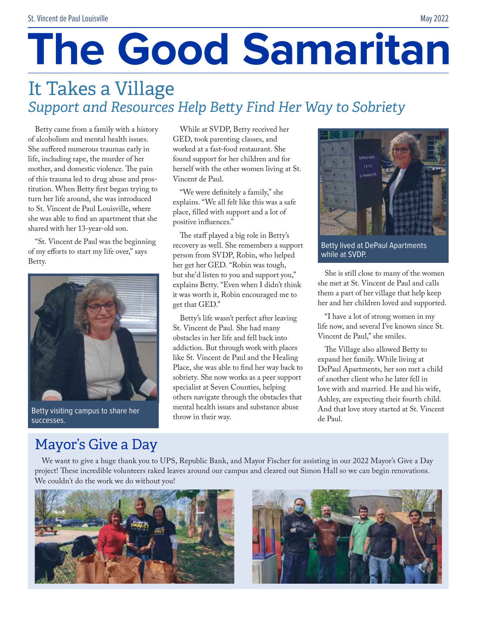# The Good Samaritan

# It Takes a Village *Support and Resources Help Betty Find Her Way to Sobriety*

Betty came from a family with a history of alcoholism and mental health issues. She suffered numerous traumas early in life, including rape, the murder of her mother, and domestic violence. The pain of this trauma led to drug abuse and prostitution. When Betty first began trying to turn her life around, she was introduced to St. Vincent de Paul Louisville, where she was able to find an apartment that she shared with her 13-year-old son.

"St. Vincent de Paul was the beginning of my efforts to start my life over," says Betty.



Betty visiting campus to share her successes.

While at SVDP, Betty received her GED, took parenting classes, and worked at a fast-food restaurant. She found support for her children and for herself with the other women living at St. Vincent de Paul.

"We were definitely a family," she explains. "We all felt like this was a safe place, filled with support and a lot of positive influences."

The staff played a big role in Betty's recovery as well. She remembers a support person from SVDP, Robin, who helped her get her GED. "Robin was tough, but she'd listen to you and support you," explains Betty. "Even when I didn't think it was worth it, Robin encouraged me to get that GED."

Betty's life wasn't perfect after leaving St. Vincent de Paul. She had many obstacles in her life and fell back into addiction. But through work with places like St. Vincent de Paul and the Healing Place, she was able to find her way back to sobriety. She now works as a peer support specialist at Seven Counties, helping others navigate through the obstacles that mental health issues and substance abuse throw in their way.



Betty lived at DePaul Apartments while at SVDP.

She is still close to many of the women she met at St. Vincent de Paul and calls them a part of her village that help keep her and her children loved and supported.

"I have a lot of strong women in my life now, and several I've known since St. Vincent de Paul," she smiles.

The Village also allowed Betty to expand her family. While living at DePaul Apartments, her son met a child of another client who he later fell in love with and married. He and his wife, Ashley, are expecting their fourth child. And that love story started at St. Vincent de Paul.

# Mayor's Give a Day

We want to give a huge thank you to UPS, Republic Bank, and Mayor Fischer for assisting in our 2022 Mayor's Give a Day project! These incredible volunteers raked leaves around our campus and cleared out Simon Hall so we can begin renovations. We couldn't do the work we do without you!



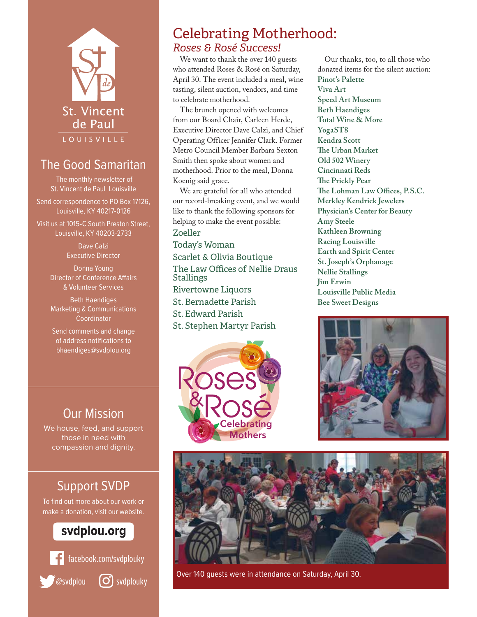

## The Good Samaritan

The monthly newsletter of St. Vincent de Paul Louisville

Send correspondence to PO Box 17126, Louisville, KY 40217-0126

Visit us at 1015-C South Preston Street, Louisville, KY 40203-2733

> Dave Calzi Executive Director

Donna Young Director of Conference Affairs & Volunteer Services

Beth Haendiges Marketing & Communications Coordinator

Send comments and change of address notifications to bhaendiges@svdplou.org

## Our Mission

We house, feed, and support those in need with compassion and dignity.

## Support SVDP

To find out more about our work or make a donation, visit our website.

## svdplou.org



## Celebrating Motherhood: *Roses & Rosé Success!*

We want to thank the over 140 guests who attended Roses & Rosé on Saturday, April 30. The event included a meal, wine tasting, silent auction, vendors, and time to celebrate motherhood.

The brunch opened with welcomes from our Board Chair, Carleen Herde, Executive Director Dave Calzi, and Chief Operating Officer Jennifer Clark. Former Metro Council Member Barbara Sexton Smith then spoke about women and motherhood. Prior to the meal, Donna Koenig said grace.

We are grateful for all who attended our record-breaking event, and we would like to thank the following sponsors for helping to make the event possible:

#### Zoeller

Today's Woman Scarlet & Olivia Boutique The Law Offices of Nellie Draus Stallings Rivertowne Liquors

St. Bernadette Parish

St. Edward Parish

St. Stephen Martyr Parish



Our thanks, too, to all those who donated items for the silent auction: **Pinot's Palette Viva Art Speed Art Museum Beth Haendiges Total Wine & More YogaST8 Kendra Scott The Urban Market Old 502 Winery Cincinnati Reds The Prickly Pear The Lohman Law Offices, P.S.C. Merkley Kendrick Jewelers Physician's Center for Beauty Amy Steele Kathleen Browning Racing Louisville Earth and Spirit Center St. Joseph's Orphanage Nellie Stallings Jim Erwin Louisville Public Media Bee Sweet Designs**





Over 140 guests were in attendance on Saturday, April 30.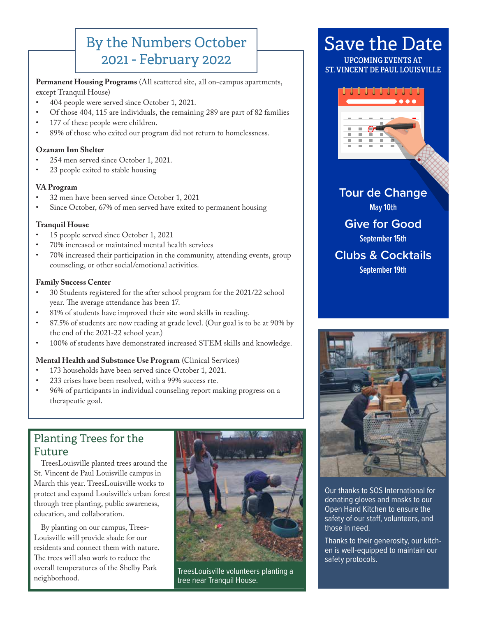# By the Numbers October 2021 - February 2022

**Permanent Housing Programs** (All scattered site, all on-campus apartments, except Tranquil House)

- 404 people were served since October 1, 2021.
- Of those 404, 115 are individuals, the remaining 289 are part of 82 families
- 177 of these people were children.
- 89% of those who exited our program did not return to homelessness.

#### **Ozanam Inn Shelter**

- 254 men served since October 1, 2021.
- 23 people exited to stable housing

#### **VA Program**

- 32 men have been served since October 1, 2021
- Since October, 67% of men served have exited to permanent housing

#### **Tranquil House**

- 15 people served since October 1, 2021
- 70% increased or maintained mental health services
- 70% increased their participation in the community, attending events, group counseling, or other social/emotional activities.

#### **Family Success Center**

- 30 Students registered for the after school program for the 2021/22 school year. The average attendance has been 17.
- 81% of students have improved their site word skills in reading.
- 87.5% of students are now reading at grade level. (Our goal is to be at 90% by the end of the 2021-22 school year.)
- 100% of students have demonstrated increased STEM skills and knowledge.

#### **Mental Health and Substance Use Program** (Clinical Services)

- 173 households have been served since October 1, 2021.
- 233 crises have been resolved, with a 99% success rte.
- 96% of participants in individual counseling report making progress on a therapeutic goal.

### Planting Trees for the Future

TreesLouisville planted trees around the St. Vincent de Paul Louisville campus in March this year. TreesLouisville works to protect and expand Louisville's urban forest through tree planting, public awareness, education, and collaboration.

By planting on our campus, Trees-Louisville will provide shade for our residents and connect them with nature. The trees will also work to reduce the overall temperatures of the Shelby Park neighborhood.



TreesLouisville volunteers planting a tree near Tranquil House.

# Save the Date

**UPCOMING EVENTS AT ST. VINCENT DE PAUL LOUISVILLE**



**Tour de Change May 10th** 

**Give for Good**

**September 15th** 

# **Clubs & Cocktails**

**September 19th**



Our thanks to SOS International for donating gloves and masks to our Open Hand Kitchen to ensure the safety of our staff, volunteers, and those in need.

Thanks to their generosity, our kitchen is well-equipped to maintain our safety protocols.